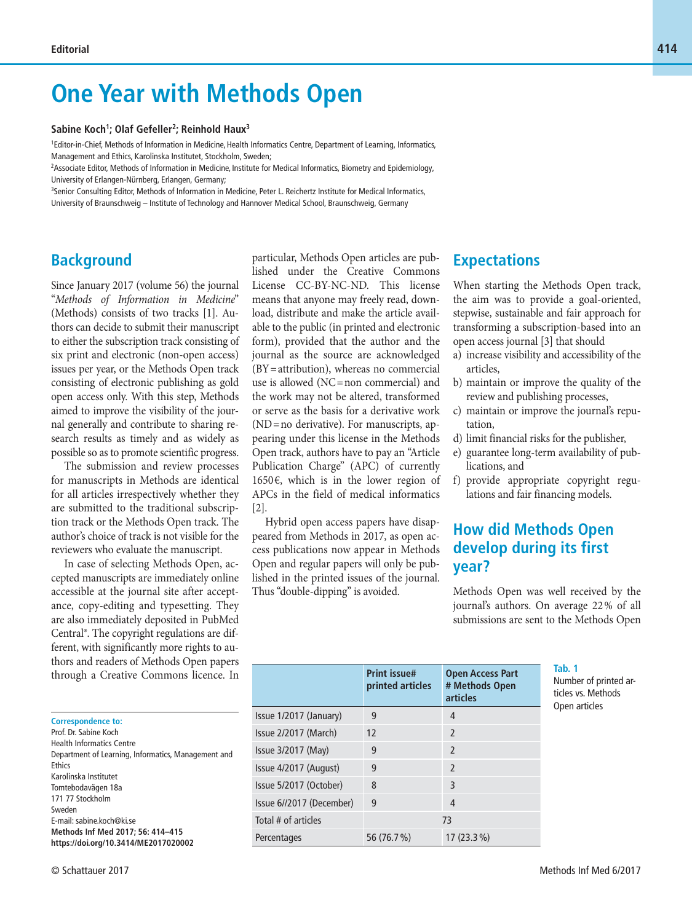# **One Year with Methods Open**

#### **Sabine Koch1; Olaf Gefeller2; Reinhold Haux3**

1 Editor-in-Chief, Methods of Information in Medicine, Health Informatics Centre, Department of Learning, Informatics, Management and Ethics, Karolinska Institutet, Stockholm, Sweden;

2 Associate Editor, Methods of Information in Medicine, Institute for Medical Informatics, Biometry and Epidemiology, University of Erlangen-Nürnberg, Erlangen, Germany;

3 Senior Consulting Editor, Methods of Information in Medicine, Peter L. Reichertz Institute for Medical Informatics, University of Braunschweig – Institute of Technology and Hannover Medical School, Braunschweig, Germany

## **Background**

Since January 2017 (volume 56) the journal "*Methods of Information in Medicine*" (Methods) consists of two tracks [1]. Authors can decide to submit their manuscript to either the subscription track consisting of six print and electronic (non-open access) issues per year, or the Methods Open track consisting of electronic publishing as gold open access only. With this step, Methods aimed to improve the visibility of the journal generally and contribute to sharing research results as timely and as widely as possible so as to promote scientific progress.

The submission and review processes for manuscripts in Methods are identical for all articles irrespectively whether they are submitted to the traditional subscription track or the Methods Open track. The author's choice of track is not visible for the reviewers who evaluate the manuscript.

In case of selecting Methods Open, accepted manuscripts are immediately online accessible at the journal site after acceptance, copy-editing and typesetting. They are also immediately deposited in PubMed Central®. The copyright regulations are different, with significantly more rights to authors and readers of Methods Open papers through a Creative Commons licence. In

particular, Methods Open articles are published under the Creative Commons License CC-BY-NC-ND. This license means that anyone may freely read, download, distribute and make the article available to the public (in printed and electronic form), provided that the author and the journal as the source are acknowledged (BY = attribution), whereas no commercial use is allowed (NC=non commercial) and the work may not be altered, transformed or serve as the basis for a derivative work (ND = no derivative). For manuscripts, appearing under this license in the Methods Open track, authors have to pay an "Article Publication Charge" (APC) of currently 1650€, which is in the lower region of APCs in the field of medical informatics [2].

Hybrid open access papers have disappeared from Methods in 2017, as open access publications now appear in Methods Open and regular papers will only be published in the printed issues of the journal. Thus "double-dipping" is avoided.

### **Expectations**

When starting the Methods Open track, the aim was to provide a goal-oriented, stepwise, sustainable and fair approach for transforming a subscription-based into an open access journal [3] that should

- a) increase visibility and accessibility of the articles,
- b) maintain or improve the quality of the review and publishing processes,
- c) maintain or improve the journal's reputation,
- d) limit financial risks for the publisher,
- e) guarantee long-term availability of publications, and
- f) provide appropriate copyright regulations and fair financing models.

# **How did Methods Open develop during its first year?**

Methods Open was well received by the journal's authors. On average 22 % of all submissions are sent to the Methods Open

| <b>Correspondence to:</b>                           |
|-----------------------------------------------------|
| Prof. Dr. Sabine Koch                               |
| <b>Health Informatics Centre</b>                    |
| Department of Learning, Informatics, Management and |
| <b>Fthics</b>                                       |
| Karolinska Institutet                               |
| Tomtebodavägen 18a                                  |
| 171 77 Stockholm                                    |
| Sweden                                              |
| E-mail: sabine.koch@ki.se                           |
| Methods Inf Med 2017; 56: 414-415                   |
| https://doi.org/10.3414/ME2017020002                |

|                          | <b>Print issue#</b><br>printed articles | <b>Open Access Part</b><br># Methods Open<br>articles |
|--------------------------|-----------------------------------------|-------------------------------------------------------|
| Issue 1/2017 (January)   | 9                                       | 4                                                     |
| Issue 2/2017 (March)     | 12                                      | $\overline{\phantom{0}}$                              |
| Issue 3/2017 (May)       | 9                                       | $\overline{\phantom{0}}$                              |
| Issue 4/2017 (August)    | 9                                       | $\overline{\phantom{0}}$                              |
| Issue 5/2017 (October)   | 8                                       | 3                                                     |
| Issue 6//2017 (December) | 9                                       | 4                                                     |
| Total # of articles      |                                         | 73                                                    |
| Percentages              | 56 (76.7%)                              | $17(23.3\%)$                                          |

#### **Tab. 1**

Number of printed articles vs. Methods Open articles